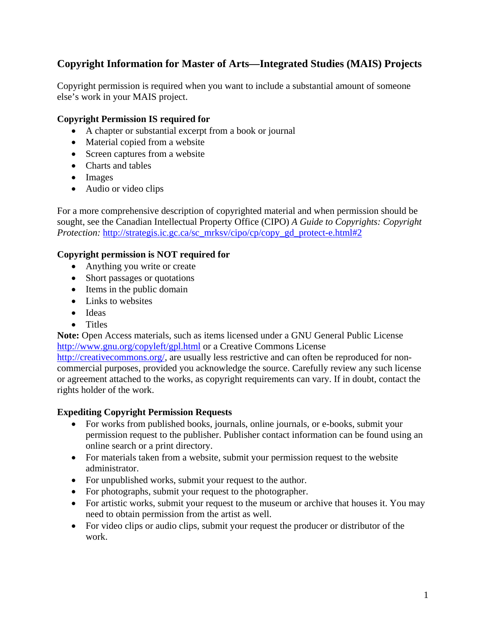# **Copyright Information for Master of Arts—Integrated Studies (MAIS) Projects**

Copyright permission is required when you want to include a substantial amount of someone else's work in your MAIS project.

## **Copyright Permission IS required for**

- A chapter or substantial excerpt from a book or journal
- Material copied from a website
- Screen captures from a website
- Charts and tables
- Images
- Audio or video clips

For a more comprehensive description of copyrighted material and when permission should be sought, see the Canadian Intellectual Property Office (CIPO) *A Guide to Copyrights: Copyright Protection:* http://strategis.ic.gc.ca/sc\_mrksv/cipo/cp/copy\_gd\_protect-e.html#2

## **Copyright permission is NOT required for**

- Anything you write or create
- Short passages or quotations
- Items in the public domain
- Links to websites
- Ideas
- Titles

**Note:** Open Access materials, such as items licensed under a GNU General Public License http://www.gnu.org/copyleft/gpl.html or a Creative Commons License

http://creativecommons.org/, are usually less restrictive and can often be reproduced for noncommercial purposes, provided you acknowledge the source. Carefully review any such license or agreement attached to the works, as copyright requirements can vary. If in doubt, contact the rights holder of the work.

#### **Expediting Copyright Permission Requests**

- For works from published books, journals, online journals, or e-books, submit your permission request to the publisher. Publisher contact information can be found using an online search or a print directory.
- For materials taken from a website, submit your permission request to the website administrator.
- For unpublished works, submit your request to the author.
- For photographs, submit your request to the photographer.
- For artistic works, submit your request to the museum or archive that houses it. You may need to obtain permission from the artist as well.
- For video clips or audio clips, submit your request the producer or distributor of the work.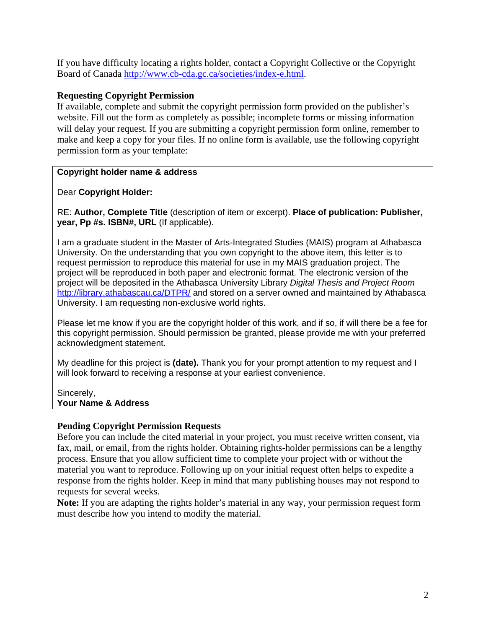If you have difficulty locating a rights holder, contact a Copyright Collective or the Copyright Board of Canada http://www.cb-cda.gc.ca/societies/index-e.html.

## **Requesting Copyright Permission**

If available, complete and submit the copyright permission form provided on the publisher's website. Fill out the form as completely as possible; incomplete forms or missing information will delay your request. If you are submitting a copyright permission form online, remember to make and keep a copy for your files. If no online form is available, use the following copyright permission form as your template:

## **Copyright holder name & address**

Dear **Copyright Holder:** 

RE: **Author, Complete Title** (description of item or excerpt). **Place of publication: Publisher, year, Pp #s. ISBN#, URL** (If applicable).

I am a graduate student in the Master of Arts-Integrated Studies (MAIS) program at Athabasca University. On the understanding that you own copyright to the above item, this letter is to request permission to reproduce this material for use in my MAIS graduation project. The project will be reproduced in both paper and electronic format. The electronic version of the project will be deposited in the Athabasca University Library *Digital Thesis and Project Room* http://library.athabascau.ca/DTPR/ and stored on a server owned and maintained by Athabasca University. I am requesting non-exclusive world rights.

Please let me know if you are the copyright holder of this work, and if so, if will there be a fee for this copyright permission. Should permission be granted, please provide me with your preferred acknowledgment statement.

My deadline for this project is **(date).** Thank you for your prompt attention to my request and I will look forward to receiving a response at your earliest convenience.

Sincerely, **Your Name & Address** 

## **Pending Copyright Permission Requests**

Before you can include the cited material in your project, you must receive written consent, via fax, mail, or email, from the rights holder. Obtaining rights-holder permissions can be a lengthy process. Ensure that you allow sufficient time to complete your project with or without the material you want to reproduce. Following up on your initial request often helps to expedite a response from the rights holder. Keep in mind that many publishing houses may not respond to requests for several weeks.

**Note:** If you are adapting the rights holder's material in any way, your permission request form must describe how you intend to modify the material.